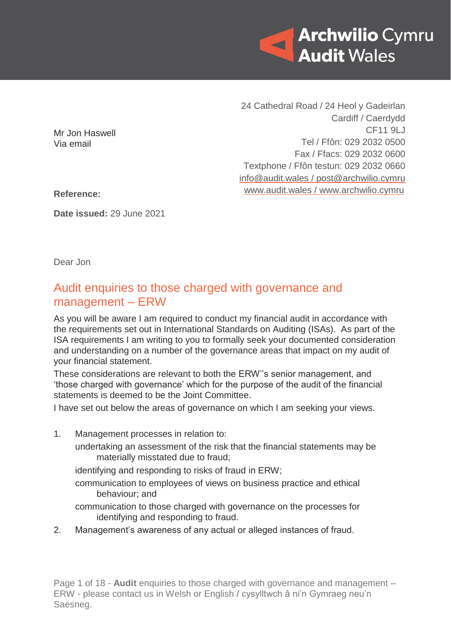

24 Cathedral Road / 24 Heol y Gadeirlan Cardiff / Caerdydd CF11 9LJ Tel / Ffôn: 029 2032 0500 Fax / Ffacs: 029 2032 0600 Textphone / Ffôn testun: 029 2032 0660 [info@audit.wales](mailto:info@audit.wales) / post@archwilio.cymru [www.audit.wales](http://www.audit.wales/) / [www.archwilio.cymru](http://www.archwilio.cymru/)

Mr Jon Haswell Via email

**Reference:**

**Date issued:** 29 June 2021

Dear Jon

# Audit enquiries to those charged with governance and management – ERW

As you will be aware I am required to conduct my financial audit in accordance with the requirements set out in International Standards on Auditing (ISAs). As part of the ISA requirements I am writing to you to formally seek your documented consideration and understanding on a number of the governance areas that impact on my audit of your financial statement.

These considerations are relevant to both the ERW''s senior management, and 'those charged with governance' which for the purpose of the audit of the financial statements is deemed to be the Joint Committee.

I have set out below the areas of governance on which I am seeking your views.

1. Management processes in relation to: undertaking an assessment of the risk that the financial statements may be materially misstated due to fraud; identifying and responding to risks of fraud in ERW; communication to employees of views on business practice and ethical behaviour; and communication to those charged with governance on the processes for identifying and responding to fraud. 2. Management's awareness of any actual or alleged instances of fraud.

Page 1 of 18 - **Audit** enquiries to those charged with governance and management – ERW - please contact us in Welsh or English / cysylltwch â ni'n Gymraeg neu'n Saesneg.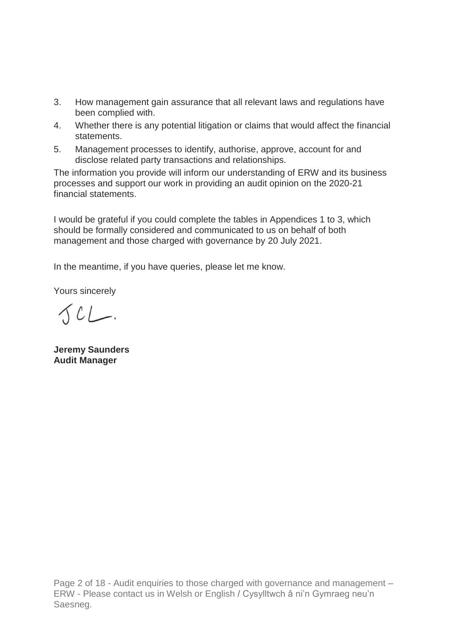- 3. How management gain assurance that all relevant laws and regulations have been complied with.
- 4. Whether there is any potential litigation or claims that would affect the financial statements.
- 5. Management processes to identify, authorise, approve, account for and disclose related party transactions and relationships.

The information you provide will inform our understanding of ERW and its business processes and support our work in providing an audit opinion on the 2020-21 financial statements.

I would be grateful if you could complete the tables in Appendices 1 to 3, which should be formally considered and communicated to us on behalf of both management and those charged with governance by 20 July 2021.

In the meantime, if you have queries, please let me know.

Yours sincerely

 $SCL$ 

**Jeremy Saunders Audit Manager**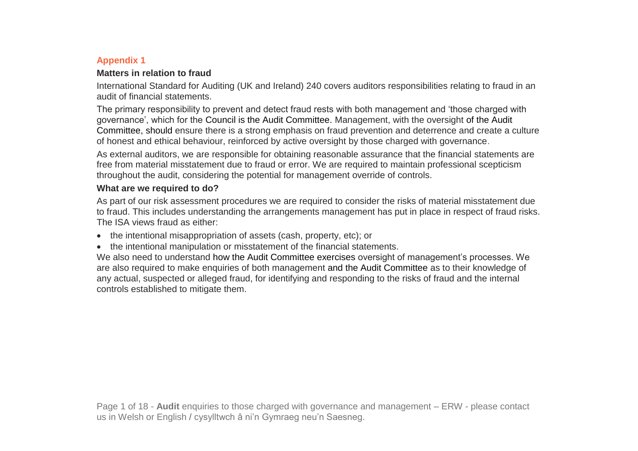### **Appendix 1**

#### **Matters in relation to fraud**

International Standard for Auditing (UK and Ireland) 240 covers auditors responsibilities relating to fraud in an audit of financial statements.

The primary responsibility to prevent and detect fraud rests with both management and 'those charged with governance', which for the Council is the Audit Committee. Management, with the oversight of the Audit Committee, should ensure there is a strong emphasis on fraud prevention and deterrence and create a culture of honest and ethical behaviour, reinforced by active oversight by those charged with governance.

As external auditors, we are responsible for obtaining reasonable assurance that the financial statements are free from material misstatement due to fraud or error. We are required to maintain professional scepticism throughout the audit, considering the potential for management override of controls.

# **What are we required to do?**

As part of our risk assessment procedures we are required to consider the risks of material misstatement due to fraud. This includes understanding the arrangements management has put in place in respect of fraud risks. The ISA views fraud as either:

- the intentional misappropriation of assets (cash, property, etc); or
- the intentional manipulation or misstatement of the financial statements.

We also need to understand how the Audit Committee exercises oversight of management's processes. We are also required to make enquiries of both management and the Audit Committee as to their knowledge of any actual, suspected or alleged fraud, for identifying and responding to the risks of fraud and the internal controls established to mitigate them.

Page 1 of 18 - **Audit** enquiries to those charged with governance and management – ERW - please contact us in Welsh or English / cysylltwch â ni'n Gymraeg neu'n Saesneg.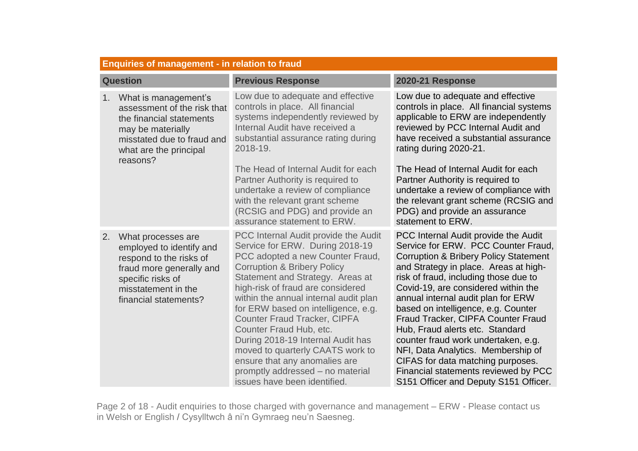|                 | <b>Enquiries of management - in relation to fraud</b>                                                                                                                                      |                                                                                                                                                                                                                                                                                                                                                                                                                                                                                                                                                                       |                                                                                                                                                                                                                                                                                                                                                                                                                                                                                                                                                                                                                   |  |
|-----------------|--------------------------------------------------------------------------------------------------------------------------------------------------------------------------------------------|-----------------------------------------------------------------------------------------------------------------------------------------------------------------------------------------------------------------------------------------------------------------------------------------------------------------------------------------------------------------------------------------------------------------------------------------------------------------------------------------------------------------------------------------------------------------------|-------------------------------------------------------------------------------------------------------------------------------------------------------------------------------------------------------------------------------------------------------------------------------------------------------------------------------------------------------------------------------------------------------------------------------------------------------------------------------------------------------------------------------------------------------------------------------------------------------------------|--|
| <b>Question</b> |                                                                                                                                                                                            | <b>Previous Response</b>                                                                                                                                                                                                                                                                                                                                                                                                                                                                                                                                              | <b>2020-21 Response</b>                                                                                                                                                                                                                                                                                                                                                                                                                                                                                                                                                                                           |  |
|                 | What is management's<br>1 <sub>1</sub><br>assessment of the risk that<br>the financial statements<br>may be materially<br>misstated due to fraud and<br>what are the principal<br>reasons? | Low due to adequate and effective<br>controls in place. All financial<br>systems independently reviewed by<br>Internal Audit have received a<br>substantial assurance rating during<br>2018-19.                                                                                                                                                                                                                                                                                                                                                                       | Low due to adequate and effective<br>controls in place. All financial systems<br>applicable to ERW are independently<br>reviewed by PCC Internal Audit and<br>have received a substantial assurance<br>rating during 2020-21.                                                                                                                                                                                                                                                                                                                                                                                     |  |
|                 |                                                                                                                                                                                            | The Head of Internal Audit for each<br>Partner Authority is required to<br>undertake a review of compliance<br>with the relevant grant scheme<br>(RCSIG and PDG) and provide an<br>assurance statement to ERW.                                                                                                                                                                                                                                                                                                                                                        | The Head of Internal Audit for each<br>Partner Authority is required to<br>undertake a review of compliance with<br>the relevant grant scheme (RCSIG and<br>PDG) and provide an assurance<br>statement to ERW.                                                                                                                                                                                                                                                                                                                                                                                                    |  |
|                 | 2.<br>What processes are<br>employed to identify and<br>respond to the risks of<br>fraud more generally and<br>specific risks of<br>misstatement in the<br>financial statements?           | <b>PCC</b> Internal Audit provide the Audit<br>Service for ERW. During 2018-19<br>PCC adopted a new Counter Fraud,<br><b>Corruption &amp; Bribery Policy</b><br>Statement and Strategy. Areas at<br>high-risk of fraud are considered<br>within the annual internal audit plan<br>for ERW based on intelligence, e.g.<br><b>Counter Fraud Tracker, CIPFA</b><br>Counter Fraud Hub, etc.<br>During 2018-19 Internal Audit has<br>moved to quarterly CAATS work to<br>ensure that any anomalies are<br>promptly addressed - no material<br>issues have been identified. | PCC Internal Audit provide the Audit<br>Service for ERW. PCC Counter Fraud,<br><b>Corruption &amp; Bribery Policy Statement</b><br>and Strategy in place. Areas at high-<br>risk of fraud, including those due to<br>Covid-19, are considered within the<br>annual internal audit plan for ERW<br>based on intelligence, e.g. Counter<br>Fraud Tracker, CIPFA Counter Fraud<br>Hub, Fraud alerts etc. Standard<br>counter fraud work undertaken, e.g.<br>NFI, Data Analytics. Membership of<br>CIFAS for data matching purposes.<br>Financial statements reviewed by PCC<br>S151 Officer and Deputy S151 Officer. |  |

Page 2 of 18 - Audit enquiries to those charged with governance and management – ERW - Please contact us in Welsh or English / Cysylltwch â ni'n Gymraeg neu'n Saesneg.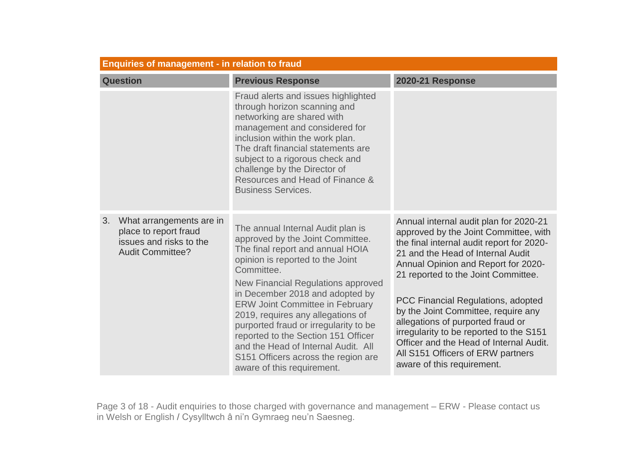| <b>Enquiries of management - in relation to fraud</b>                                                         |                                                                                                                                                                                                                                                                                                                                                                                                                                                                                                                        |                                                                                                                                                                                                                                                                                                                                                                                                                                                                                                                            |  |
|---------------------------------------------------------------------------------------------------------------|------------------------------------------------------------------------------------------------------------------------------------------------------------------------------------------------------------------------------------------------------------------------------------------------------------------------------------------------------------------------------------------------------------------------------------------------------------------------------------------------------------------------|----------------------------------------------------------------------------------------------------------------------------------------------------------------------------------------------------------------------------------------------------------------------------------------------------------------------------------------------------------------------------------------------------------------------------------------------------------------------------------------------------------------------------|--|
| <b>Question</b>                                                                                               | <b>Previous Response</b>                                                                                                                                                                                                                                                                                                                                                                                                                                                                                               | <b>2020-21 Response</b>                                                                                                                                                                                                                                                                                                                                                                                                                                                                                                    |  |
|                                                                                                               | Fraud alerts and issues highlighted<br>through horizon scanning and<br>networking are shared with<br>management and considered for<br>inclusion within the work plan.<br>The draft financial statements are<br>subject to a rigorous check and<br>challenge by the Director of<br>Resources and Head of Finance &<br><b>Business Services.</b>                                                                                                                                                                         |                                                                                                                                                                                                                                                                                                                                                                                                                                                                                                                            |  |
| 3.<br>What arrangements are in<br>place to report fraud<br>issues and risks to the<br><b>Audit Committee?</b> | The annual Internal Audit plan is<br>approved by the Joint Committee.<br>The final report and annual HOIA<br>opinion is reported to the Joint<br>Committee.<br><b>New Financial Regulations approved</b><br>in December 2018 and adopted by<br><b>ERW Joint Committee in February</b><br>2019, requires any allegations of<br>purported fraud or irregularity to be<br>reported to the Section 151 Officer<br>and the Head of Internal Audit. All<br>S151 Officers across the region are<br>aware of this requirement. | Annual internal audit plan for 2020-21<br>approved by the Joint Committee, with<br>the final internal audit report for 2020-<br>21 and the Head of Internal Audit<br>Annual Opinion and Report for 2020-<br>21 reported to the Joint Committee.<br>PCC Financial Regulations, adopted<br>by the Joint Committee, require any<br>allegations of purported fraud or<br>irregularity to be reported to the S151<br>Officer and the Head of Internal Audit.<br>All S151 Officers of ERW partners<br>aware of this requirement. |  |

Page 3 of 18 - Audit enquiries to those charged with governance and management – ERW - Please contact us in Welsh or English / Cysylltwch â ni'n Gymraeg neu'n Saesneg.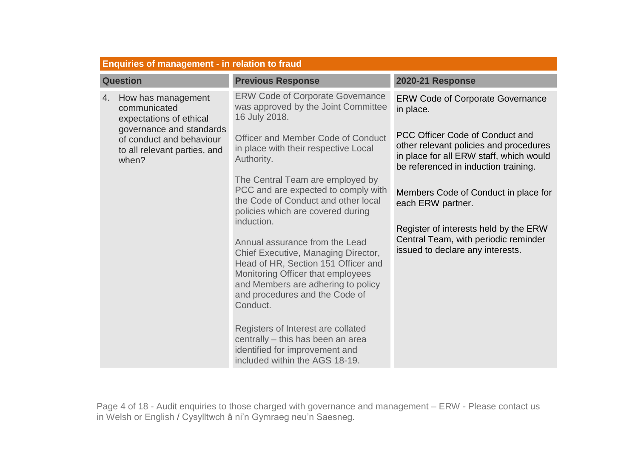|                 | <b>Enquiries of management - in relation to fraud</b>                                     |                                                                                                                                                                                                                                       |                                                                                                                                                              |  |
|-----------------|-------------------------------------------------------------------------------------------|---------------------------------------------------------------------------------------------------------------------------------------------------------------------------------------------------------------------------------------|--------------------------------------------------------------------------------------------------------------------------------------------------------------|--|
| <b>Question</b> |                                                                                           | <b>Previous Response</b>                                                                                                                                                                                                              | <b>2020-21 Response</b>                                                                                                                                      |  |
| 4.              | How has management<br>communicated<br>expectations of ethical<br>governance and standards | <b>ERW Code of Corporate Governance</b><br>was approved by the Joint Committee<br>16 July 2018.                                                                                                                                       | <b>ERW Code of Corporate Governance</b><br>in place.                                                                                                         |  |
|                 | of conduct and behaviour<br>to all relevant parties, and<br>when?                         | <b>Officer and Member Code of Conduct</b><br>in place with their respective Local<br>Authority.                                                                                                                                       | PCC Officer Code of Conduct and<br>other relevant policies and procedures<br>in place for all ERW staff, which would<br>be referenced in induction training. |  |
|                 |                                                                                           | The Central Team are employed by<br>PCC and are expected to comply with<br>the Code of Conduct and other local<br>policies which are covered during<br>induction.                                                                     | Members Code of Conduct in place for<br>each ERW partner.                                                                                                    |  |
|                 |                                                                                           | Annual assurance from the Lead<br>Chief Executive, Managing Director,<br>Head of HR, Section 151 Officer and<br>Monitoring Officer that employees<br>and Members are adhering to policy<br>and procedures and the Code of<br>Conduct. | Register of interests held by the ERW<br>Central Team, with periodic reminder<br>issued to declare any interests.                                            |  |
|                 |                                                                                           | Registers of Interest are collated<br>centrally - this has been an area<br>identified for improvement and<br>included within the AGS 18-19.                                                                                           |                                                                                                                                                              |  |

Page 4 of 18 - Audit enquiries to those charged with governance and management – ERW - Please contact us in Welsh or English / Cysylltwch â ni'n Gymraeg neu'n Saesneg.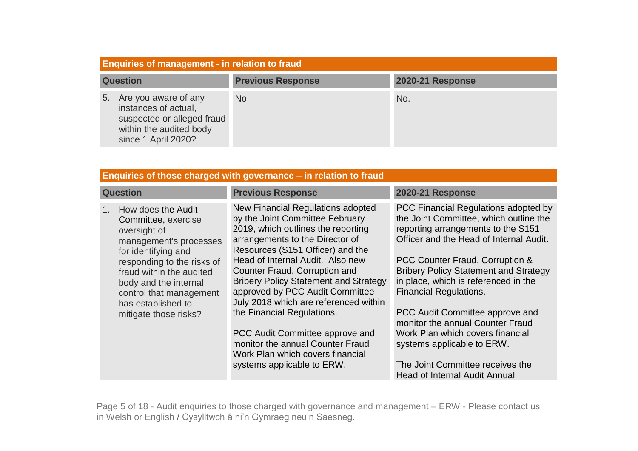|    | <b>Enquiries of management - in relation to fraud</b>                                                                        |                          |                         |  |
|----|------------------------------------------------------------------------------------------------------------------------------|--------------------------|-------------------------|--|
|    | <b>Question</b>                                                                                                              | <b>Previous Response</b> | <b>2020-21 Response</b> |  |
| 5. | Are you aware of any<br>instances of actual,<br>suspected or alleged fraud<br>within the audited body<br>since 1 April 2020? | <b>No</b>                | No.                     |  |

| Enquiries of those charged with governance – in relation to fraud                                                                                                                                                                                                                  |                                                                                                                                                                                                                                                                                                                                                                                                                                                                                                                                                           |                                                                                                                                                                                                                                                                                                                                                                                                                                                                                                                                                  |  |
|------------------------------------------------------------------------------------------------------------------------------------------------------------------------------------------------------------------------------------------------------------------------------------|-----------------------------------------------------------------------------------------------------------------------------------------------------------------------------------------------------------------------------------------------------------------------------------------------------------------------------------------------------------------------------------------------------------------------------------------------------------------------------------------------------------------------------------------------------------|--------------------------------------------------------------------------------------------------------------------------------------------------------------------------------------------------------------------------------------------------------------------------------------------------------------------------------------------------------------------------------------------------------------------------------------------------------------------------------------------------------------------------------------------------|--|
| <b>Question</b>                                                                                                                                                                                                                                                                    | <b>Previous Response</b>                                                                                                                                                                                                                                                                                                                                                                                                                                                                                                                                  | <b>2020-21 Response</b>                                                                                                                                                                                                                                                                                                                                                                                                                                                                                                                          |  |
| How does the Audit<br>$1_{-}$<br>Committee, exercise<br>oversight of<br>management's processes<br>for identifying and<br>responding to the risks of<br>fraud within the audited<br>body and the internal<br>control that management<br>has established to<br>mitigate those risks? | New Financial Regulations adopted<br>by the Joint Committee February<br>2019, which outlines the reporting<br>arrangements to the Director of<br>Resources (S151 Officer) and the<br>Head of Internal Audit. Also new<br>Counter Fraud, Corruption and<br><b>Bribery Policy Statement and Strategy</b><br>approved by PCC Audit Committee<br>July 2018 which are referenced within<br>the Financial Regulations.<br>PCC Audit Committee approve and<br>monitor the annual Counter Fraud<br>Work Plan which covers financial<br>systems applicable to ERW. | PCC Financial Regulations adopted by<br>the Joint Committee, which outline the<br>reporting arrangements to the S151<br>Officer and the Head of Internal Audit.<br>PCC Counter Fraud, Corruption &<br><b>Bribery Policy Statement and Strategy</b><br>in place, which is referenced in the<br><b>Financial Regulations.</b><br>PCC Audit Committee approve and<br>monitor the annual Counter Fraud<br>Work Plan which covers financial<br>systems applicable to ERW.<br>The Joint Committee receives the<br><b>Head of Internal Audit Annual</b> |  |

Page 5 of 18 - Audit enquiries to those charged with governance and management – ERW - Please contact us in Welsh or English / Cysylltwch â ni'n Gymraeg neu'n Saesneg.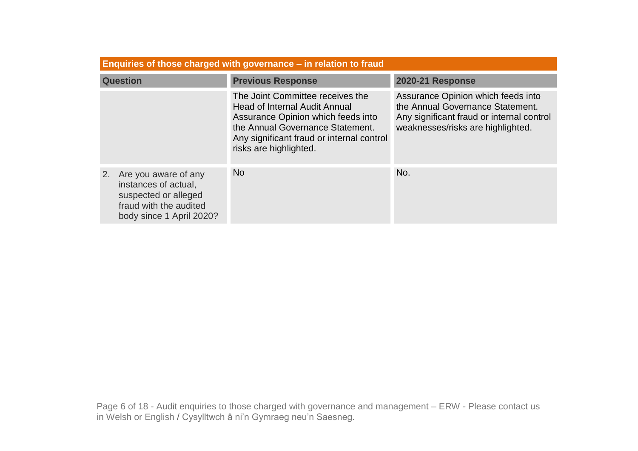| Enquiries of those charged with governance – in relation to fraud                                                                |                                                                                                                                                                                                                           |                                                                                                                                                          |  |
|----------------------------------------------------------------------------------------------------------------------------------|---------------------------------------------------------------------------------------------------------------------------------------------------------------------------------------------------------------------------|----------------------------------------------------------------------------------------------------------------------------------------------------------|--|
| <b>Question</b>                                                                                                                  | <b>Previous Response</b>                                                                                                                                                                                                  | <b>2020-21 Response</b>                                                                                                                                  |  |
|                                                                                                                                  | The Joint Committee receives the<br><b>Head of Internal Audit Annual</b><br>Assurance Opinion which feeds into<br>the Annual Governance Statement.<br>Any significant fraud or internal control<br>risks are highlighted. | Assurance Opinion which feeds into<br>the Annual Governance Statement.<br>Any significant fraud or internal control<br>weaknesses/risks are highlighted. |  |
| Are you aware of any<br>2.<br>instances of actual,<br>suspected or alleged<br>fraud with the audited<br>body since 1 April 2020? | <b>No</b>                                                                                                                                                                                                                 | No.                                                                                                                                                      |  |

Page 6 of 18 - Audit enquiries to those charged with governance and management – ERW - Please contact us in Welsh or English / Cysylltwch â ni'n Gymraeg neu'n Saesneg.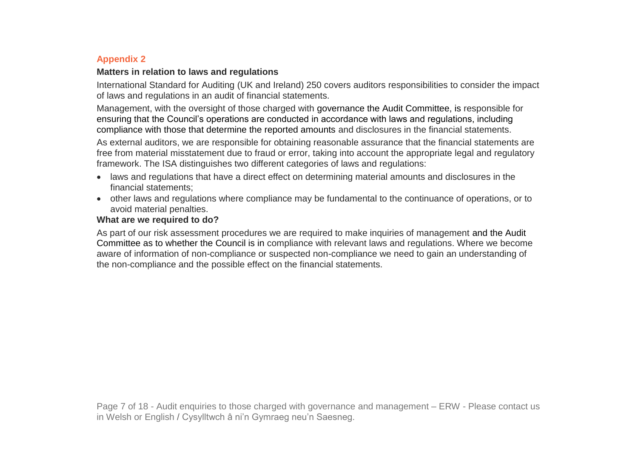# **Appendix 2**

### **Matters in relation to laws and regulations**

International Standard for Auditing (UK and Ireland) 250 covers auditors responsibilities to consider the impact of laws and regulations in an audit of financial statements.

Management, with the oversight of those charged with governance the Audit Committee, is responsible for ensuring that the Council's operations are conducted in accordance with laws and regulations, including compliance with those that determine the reported amounts and disclosures in the financial statements.

As external auditors, we are responsible for obtaining reasonable assurance that the financial statements are free from material misstatement due to fraud or error, taking into account the appropriate legal and regulatory framework. The ISA distinguishes two different categories of laws and regulations:

- laws and regulations that have a direct effect on determining material amounts and disclosures in the financial statements;
- other laws and regulations where compliance may be fundamental to the continuance of operations, or to avoid material penalties.

## **What are we required to do?**

As part of our risk assessment procedures we are required to make inquiries of management and the Audit Committee as to whether the Council is in compliance with relevant laws and regulations. Where we become aware of information of non-compliance or suspected non-compliance we need to gain an understanding of the non-compliance and the possible effect on the financial statements.

Page 7 of 18 - Audit enquiries to those charged with governance and management – ERW - Please contact us in Welsh or English / Cysylltwch â ni'n Gymraeg neu'n Saesneg.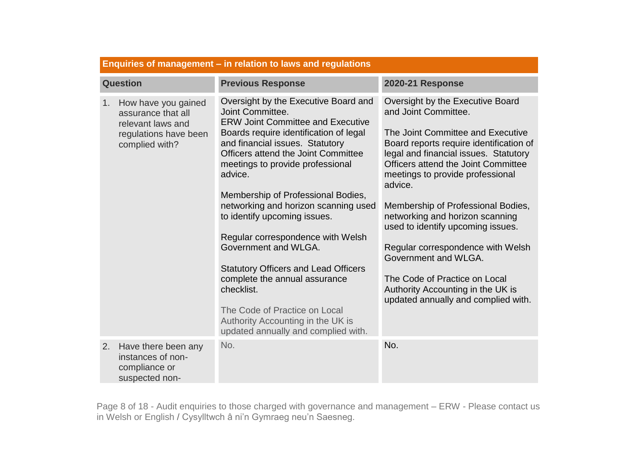|                 | Enquiries of management – in relation to laws and regulations                                             |                                                                                                                                                                                                                                                                                                                                                                                                                                                                                                                                                                                                                                                               |                                                                                                                                                                                                                                                                                                                                                                                                                                                                                                                                                                 |  |
|-----------------|-----------------------------------------------------------------------------------------------------------|---------------------------------------------------------------------------------------------------------------------------------------------------------------------------------------------------------------------------------------------------------------------------------------------------------------------------------------------------------------------------------------------------------------------------------------------------------------------------------------------------------------------------------------------------------------------------------------------------------------------------------------------------------------|-----------------------------------------------------------------------------------------------------------------------------------------------------------------------------------------------------------------------------------------------------------------------------------------------------------------------------------------------------------------------------------------------------------------------------------------------------------------------------------------------------------------------------------------------------------------|--|
| <b>Question</b> |                                                                                                           | <b>Previous Response</b>                                                                                                                                                                                                                                                                                                                                                                                                                                                                                                                                                                                                                                      | <b>2020-21 Response</b>                                                                                                                                                                                                                                                                                                                                                                                                                                                                                                                                         |  |
| 1.              | How have you gained<br>assurance that all<br>relevant laws and<br>regulations have been<br>complied with? | Oversight by the Executive Board and<br>Joint Committee.<br><b>ERW Joint Committee and Executive</b><br>Boards require identification of legal<br>and financial issues. Statutory<br>Officers attend the Joint Committee<br>meetings to provide professional<br>advice.<br>Membership of Professional Bodies,<br>networking and horizon scanning used<br>to identify upcoming issues.<br>Regular correspondence with Welsh<br>Government and WLGA.<br><b>Statutory Officers and Lead Officers</b><br>complete the annual assurance<br>checklist.<br>The Code of Practice on Local<br>Authority Accounting in the UK is<br>updated annually and complied with. | Oversight by the Executive Board<br>and Joint Committee.<br>The Joint Committee and Executive<br>Board reports require identification of<br>legal and financial issues. Statutory<br>Officers attend the Joint Committee<br>meetings to provide professional<br>advice.<br>Membership of Professional Bodies,<br>networking and horizon scanning<br>used to identify upcoming issues.<br>Regular correspondence with Welsh<br>Government and WLGA.<br>The Code of Practice on Local<br>Authority Accounting in the UK is<br>updated annually and complied with. |  |
| 2.              | Have there been any<br>instances of non-<br>compliance or<br>suspected non-                               | No.                                                                                                                                                                                                                                                                                                                                                                                                                                                                                                                                                                                                                                                           | No.                                                                                                                                                                                                                                                                                                                                                                                                                                                                                                                                                             |  |

Page 8 of 18 - Audit enquiries to those charged with governance and management – ERW - Please contact us in Welsh or English / Cysylltwch â ni'n Gymraeg neu'n Saesneg.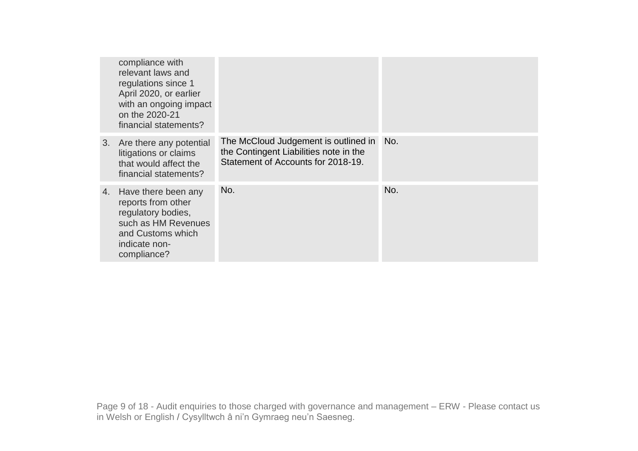| compliance with<br>relevant laws and<br>regulations since 1<br>April 2020, or earlier<br>with an ongoing impact<br>on the 2020-21<br>financial statements? |                                                                                                                      |     |
|------------------------------------------------------------------------------------------------------------------------------------------------------------|----------------------------------------------------------------------------------------------------------------------|-----|
| 3. Are there any potential<br>litigations or claims<br>that would affect the<br>financial statements?                                                      | The McCloud Judgement is outlined in<br>the Contingent Liabilities note in the<br>Statement of Accounts for 2018-19. | No. |
| 4. Have there been any<br>reports from other<br>regulatory bodies,<br>such as HM Revenues<br>and Customs which<br>indicate non-<br>compliance?             | No.                                                                                                                  | No. |

Page 9 of 18 - Audit enquiries to those charged with governance and management – ERW - Please contact us in Welsh or English / Cysylltwch â ni'n Gymraeg neu'n Saesneg.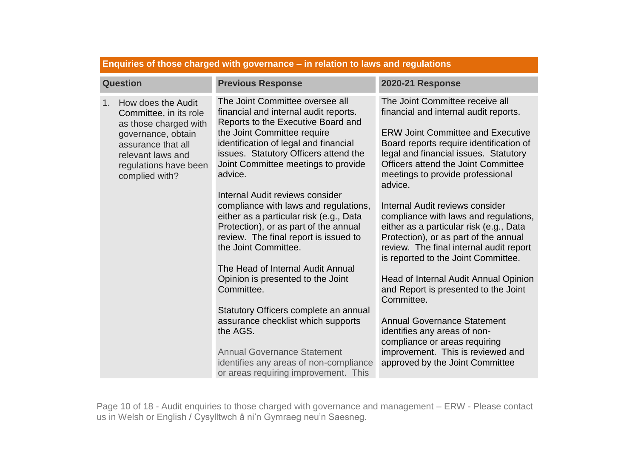| <b>Question</b>                                                                                                                                                                              | <b>Previous Response</b>                                                                                                                                                                                                                                                                                                                                                                                                                                                                                           | <b>2020-21 Response</b>                                                                                                                                                                                                                                                                                                                                                                                                                                                                                                                                 |
|----------------------------------------------------------------------------------------------------------------------------------------------------------------------------------------------|--------------------------------------------------------------------------------------------------------------------------------------------------------------------------------------------------------------------------------------------------------------------------------------------------------------------------------------------------------------------------------------------------------------------------------------------------------------------------------------------------------------------|---------------------------------------------------------------------------------------------------------------------------------------------------------------------------------------------------------------------------------------------------------------------------------------------------------------------------------------------------------------------------------------------------------------------------------------------------------------------------------------------------------------------------------------------------------|
| How does the Audit<br>$1_{-}$<br>Committee, in its role<br>as those charged with<br>governance, obtain<br>assurance that all<br>relevant laws and<br>regulations have been<br>complied with? | The Joint Committee oversee all<br>financial and internal audit reports.<br>Reports to the Executive Board and<br>the Joint Committee require<br>identification of legal and financial<br>issues. Statutory Officers attend the<br>Joint Committee meetings to provide<br>advice.<br>Internal Audit reviews consider<br>compliance with laws and regulations,<br>either as a particular risk (e.g., Data<br>Protection), or as part of the annual<br>review. The final report is issued to<br>the Joint Committee. | The Joint Committee receive all<br>financial and internal audit reports.<br><b>ERW Joint Committee and Executive</b><br>Board reports require identification of<br>legal and financial issues. Statutory<br><b>Officers attend the Joint Committee</b><br>meetings to provide professional<br>advice.<br>Internal Audit reviews consider<br>compliance with laws and regulations,<br>either as a particular risk (e.g., Data<br>Protection), or as part of the annual<br>review. The final internal audit report<br>is reported to the Joint Committee. |
|                                                                                                                                                                                              | The Head of Internal Audit Annual<br>Opinion is presented to the Joint<br>Committee.<br>Statutory Officers complete an annual<br>assurance checklist which supports<br>the AGS.<br><b>Annual Governance Statement</b><br>identifies any areas of non-compliance<br>or areas requiring improvement. This                                                                                                                                                                                                            | Head of Internal Audit Annual Opinion<br>and Report is presented to the Joint<br>Committee.<br><b>Annual Governance Statement</b><br>identifies any areas of non-<br>compliance or areas requiring<br>improvement. This is reviewed and<br>approved by the Joint Committee                                                                                                                                                                                                                                                                              |

**Enquiries of those charged with governance – in relation to laws and regulations**

Page 10 of 18 - Audit enquiries to those charged with governance and management – ERW - Please contact us in Welsh or English / Cysylltwch â ni'n Gymraeg neu'n Saesneg.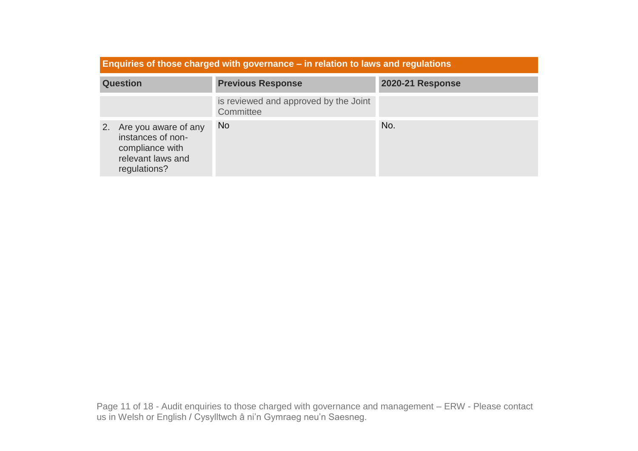| Enquiries of those charged with governance – in relation to laws and regulations                        |                                                    |                         |  |
|---------------------------------------------------------------------------------------------------------|----------------------------------------------------|-------------------------|--|
| <b>Question</b>                                                                                         | <b>Previous Response</b>                           | <b>2020-21 Response</b> |  |
|                                                                                                         | is reviewed and approved by the Joint<br>Committee |                         |  |
| Are you aware of any<br>2.<br>instances of non-<br>compliance with<br>relevant laws and<br>regulations? | N <sub>o</sub>                                     | No.                     |  |

Page 11 of 18 - Audit enquiries to those charged with governance and management – ERW - Please contact us in Welsh or English / Cysylltwch â ni'n Gymraeg neu'n Saesneg.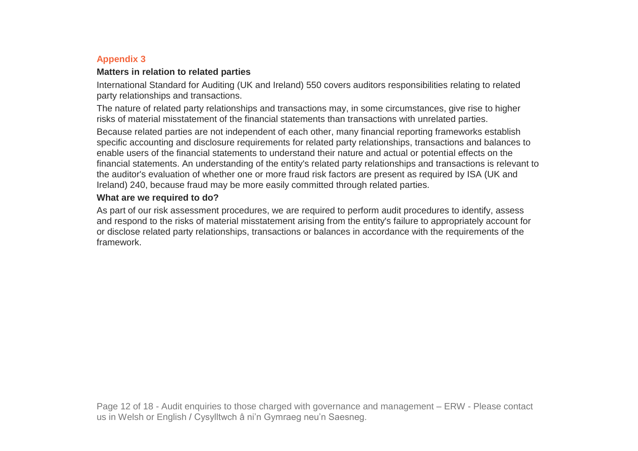# **Appendix 3**

#### **Matters in relation to related parties**

International Standard for Auditing (UK and Ireland) 550 covers auditors responsibilities relating to related party relationships and transactions.

The nature of related party relationships and transactions may, in some circumstances, give rise to higher risks of material misstatement of the financial statements than transactions with unrelated parties.

Because related parties are not independent of each other, many financial reporting frameworks establish specific accounting and disclosure requirements for related party relationships, transactions and balances to enable users of the financial statements to understand their nature and actual or potential effects on the financial statements. An understanding of the entity's related party relationships and transactions is relevant to the auditor's evaluation of whether one or more fraud risk factors are present as required by ISA (UK and Ireland) 240, because fraud may be more easily committed through related parties.

### **What are we required to do?**

As part of our risk assessment procedures, we are required to perform audit procedures to identify, assess and respond to the risks of material misstatement arising from the entity's failure to appropriately account for or disclose related party relationships, transactions or balances in accordance with the requirements of the framework.

Page 12 of 18 - Audit enquiries to those charged with governance and management – ERW - Please contact us in Welsh or English / Cysylltwch â ni'n Gymraeg neu'n Saesneg.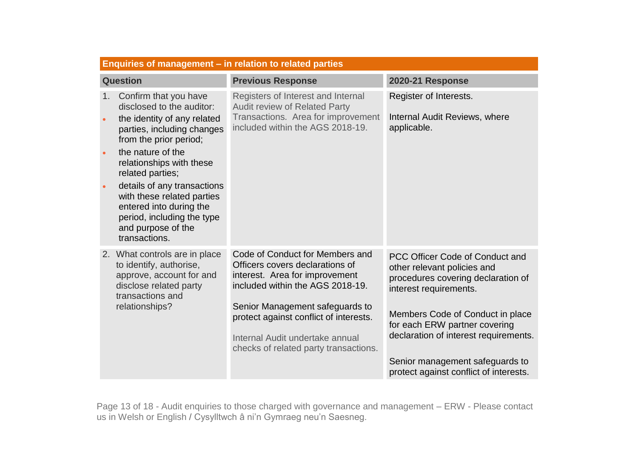|    | Enquiries of management – in relation to related parties                                                                                                       |                                                                                                                                                      |                                                                                                                                |  |
|----|----------------------------------------------------------------------------------------------------------------------------------------------------------------|------------------------------------------------------------------------------------------------------------------------------------------------------|--------------------------------------------------------------------------------------------------------------------------------|--|
|    | <b>Question</b>                                                                                                                                                | <b>Previous Response</b>                                                                                                                             | <b>2020-21 Response</b>                                                                                                        |  |
| 1. | Confirm that you have<br>disclosed to the auditor:<br>the identity of any related<br>parties, including changes<br>from the prior period;<br>the nature of the | Registers of Interest and Internal<br><b>Audit review of Related Party</b><br>Transactions. Area for improvement<br>included within the AGS 2018-19. | Register of Interests.<br>Internal Audit Reviews, where<br>applicable.                                                         |  |
|    | relationships with these<br>related parties;                                                                                                                   |                                                                                                                                                      |                                                                                                                                |  |
|    | details of any transactions<br>with these related parties<br>entered into during the<br>period, including the type<br>and purpose of the<br>transactions.      |                                                                                                                                                      |                                                                                                                                |  |
|    | 2. What controls are in place<br>to identify, authorise,<br>approve, account for and<br>disclose related party<br>transactions and                             | Code of Conduct for Members and<br>Officers covers declarations of<br>interest. Area for improvement<br>included within the AGS 2018-19.             | PCC Officer Code of Conduct and<br>other relevant policies and<br>procedures covering declaration of<br>interest requirements. |  |
|    | relationships?                                                                                                                                                 | Senior Management safeguards to<br>protect against conflict of interests.<br>Internal Audit undertake annual                                         | Members Code of Conduct in place<br>for each ERW partner covering<br>declaration of interest requirements.                     |  |
|    |                                                                                                                                                                | checks of related party transactions.                                                                                                                |                                                                                                                                |  |
|    |                                                                                                                                                                |                                                                                                                                                      | Senior management safeguards to<br>protect against conflict of interests.                                                      |  |

Page 13 of 18 - Audit enquiries to those charged with governance and management – ERW - Please contact us in Welsh or English / Cysylltwch â ni'n Gymraeg neu'n Saesneg.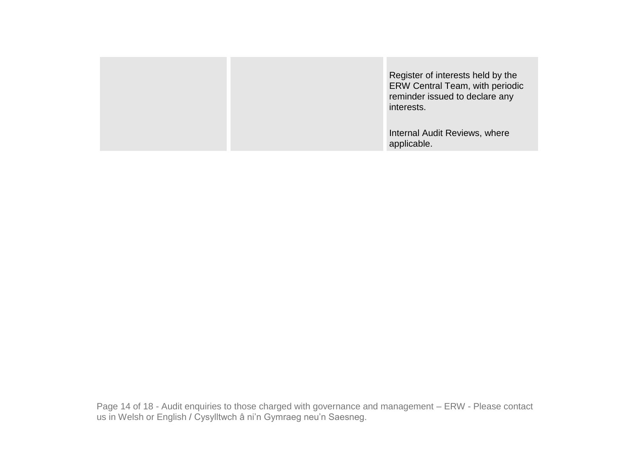|  | Register of interests held by the<br>ERW Central Team, with periodic<br>reminder issued to declare any<br>interests. |
|--|----------------------------------------------------------------------------------------------------------------------|
|  | Internal Audit Reviews, where<br>applicable.                                                                         |

Page 14 of 18 - Audit enquiries to those charged with governance and management – ERW - Please contact us in Welsh or English / Cysylltwch â ni'n Gymraeg neu'n Saesneg.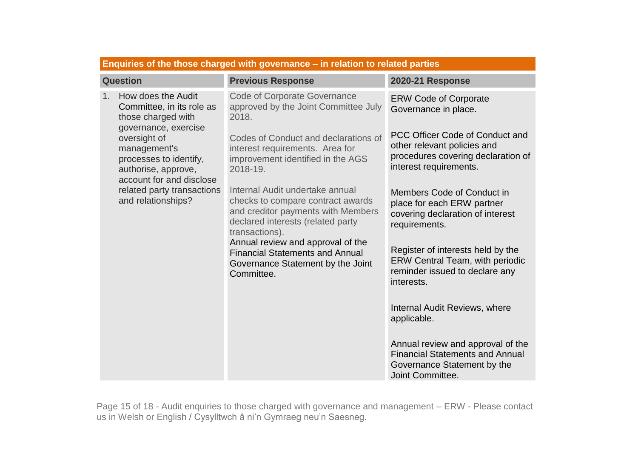| Enquiries of the those charged with governance - in relation to related parties                                                                                                                                                                                                  |                                                                                                                                                                                                                                                                                                                                                                                                                                                                                                                         |                                                                                                                                                                                                                                                                                                                                                                                                                                                                                                                                                                                                                          |
|----------------------------------------------------------------------------------------------------------------------------------------------------------------------------------------------------------------------------------------------------------------------------------|-------------------------------------------------------------------------------------------------------------------------------------------------------------------------------------------------------------------------------------------------------------------------------------------------------------------------------------------------------------------------------------------------------------------------------------------------------------------------------------------------------------------------|--------------------------------------------------------------------------------------------------------------------------------------------------------------------------------------------------------------------------------------------------------------------------------------------------------------------------------------------------------------------------------------------------------------------------------------------------------------------------------------------------------------------------------------------------------------------------------------------------------------------------|
| <b>Question</b>                                                                                                                                                                                                                                                                  | <b>Previous Response</b>                                                                                                                                                                                                                                                                                                                                                                                                                                                                                                | <b>2020-21 Response</b>                                                                                                                                                                                                                                                                                                                                                                                                                                                                                                                                                                                                  |
| How does the Audit<br>1 <sub>1</sub><br>Committee, in its role as<br>those charged with<br>governance, exercise<br>oversight of<br>management's<br>processes to identify,<br>authorise, approve,<br>account for and disclose<br>related party transactions<br>and relationships? | <b>Code of Corporate Governance</b><br>approved by the Joint Committee July<br>2018.<br>Codes of Conduct and declarations of<br>interest requirements. Area for<br>improvement identified in the AGS<br>2018-19.<br>Internal Audit undertake annual<br>checks to compare contract awards<br>and creditor payments with Members<br>declared interests (related party<br>transactions).<br>Annual review and approval of the<br><b>Financial Statements and Annual</b><br>Governance Statement by the Joint<br>Committee. | <b>ERW Code of Corporate</b><br>Governance in place.<br>PCC Officer Code of Conduct and<br>other relevant policies and<br>procedures covering declaration of<br>interest requirements.<br>Members Code of Conduct in<br>place for each ERW partner<br>covering declaration of interest<br>requirements.<br>Register of interests held by the<br><b>ERW Central Team, with periodic</b><br>reminder issued to declare any<br>interests.<br>Internal Audit Reviews, where<br>applicable.<br>Annual review and approval of the<br><b>Financial Statements and Annual</b><br>Governance Statement by the<br>Joint Committee. |

Page 15 of 18 - Audit enquiries to those charged with governance and management – ERW - Please contact us in Welsh or English / Cysylltwch â ni'n Gymraeg neu'n Saesneg.